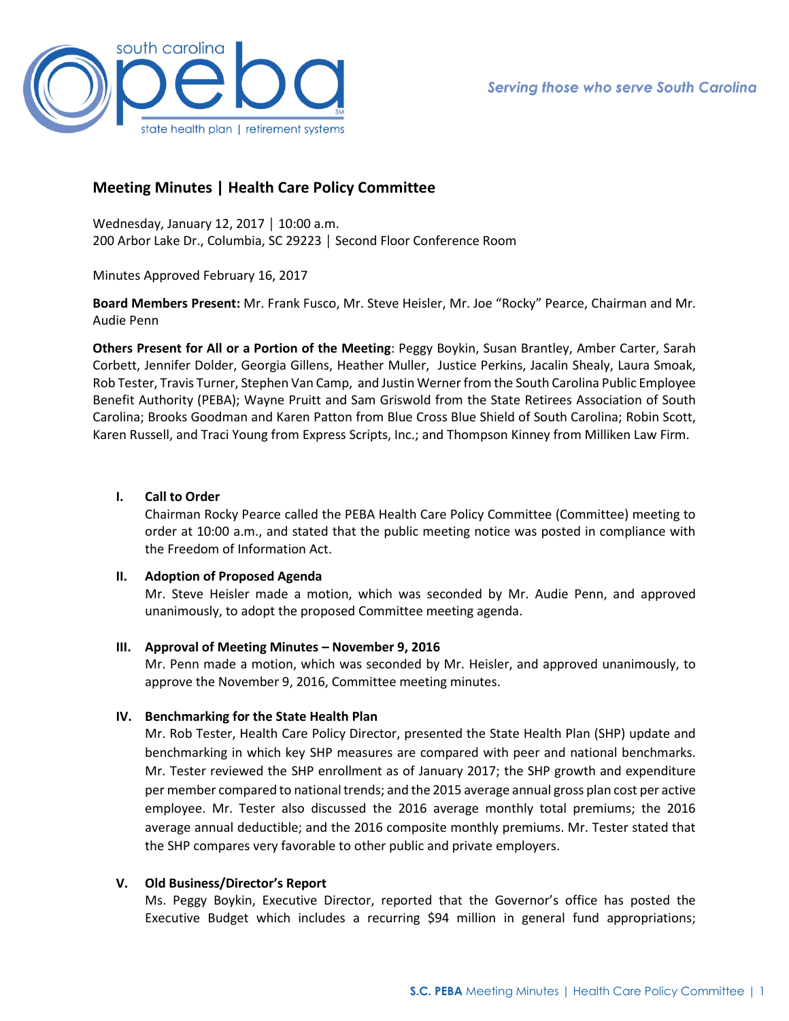

# **Meeting Minutes | Health Care Policy Committee**

Wednesday, January 12, 2017 │ 10:00 a.m. 200 Arbor Lake Dr., Columbia, SC 29223 │ Second Floor Conference Room

Minutes Approved February 16, 2017

**Board Members Present:** Mr. Frank Fusco, Mr. Steve Heisler, Mr. Joe "Rocky" Pearce, Chairman and Mr. Audie Penn

**Others Present for All or a Portion of the Meeting**: Peggy Boykin, Susan Brantley, Amber Carter, Sarah Corbett, Jennifer Dolder, Georgia Gillens, Heather Muller, Justice Perkins, Jacalin Shealy, Laura Smoak, Rob Tester, Travis Turner, Stephen Van Camp, and Justin Werner from the South Carolina Public Employee Benefit Authority (PEBA); Wayne Pruitt and Sam Griswold from the State Retirees Association of South Carolina; Brooks Goodman and Karen Patton from Blue Cross Blue Shield of South Carolina; Robin Scott, Karen Russell, and Traci Young from Express Scripts, Inc.; and Thompson Kinney from Milliken Law Firm.

### **I. Call to Order**

Chairman Rocky Pearce called the PEBA Health Care Policy Committee (Committee) meeting to order at 10:00 a.m., and stated that the public meeting notice was posted in compliance with the Freedom of Information Act.

#### **II. Adoption of Proposed Agenda**

Mr. Steve Heisler made a motion, which was seconded by Mr. Audie Penn, and approved unanimously, to adopt the proposed Committee meeting agenda.

## **III. Approval of Meeting Minutes – November 9, 2016**

Mr. Penn made a motion, which was seconded by Mr. Heisler, and approved unanimously, to approve the November 9, 2016, Committee meeting minutes.

## **IV. Benchmarking for the State Health Plan**

Mr. Rob Tester, Health Care Policy Director, presented the State Health Plan (SHP) update and benchmarking in which key SHP measures are compared with peer and national benchmarks. Mr. Tester reviewed the SHP enrollment as of January 2017; the SHP growth and expenditure per member compared to national trends; and the 2015 average annual gross plan cost per active employee. Mr. Tester also discussed the 2016 average monthly total premiums; the 2016 average annual deductible; and the 2016 composite monthly premiums. Mr. Tester stated that the SHP compares very favorable to other public and private employers.

#### **V. Old Business/Director's Report**

Ms. Peggy Boykin, Executive Director, reported that the Governor's office has posted the Executive Budget which includes a recurring \$94 million in general fund appropriations;